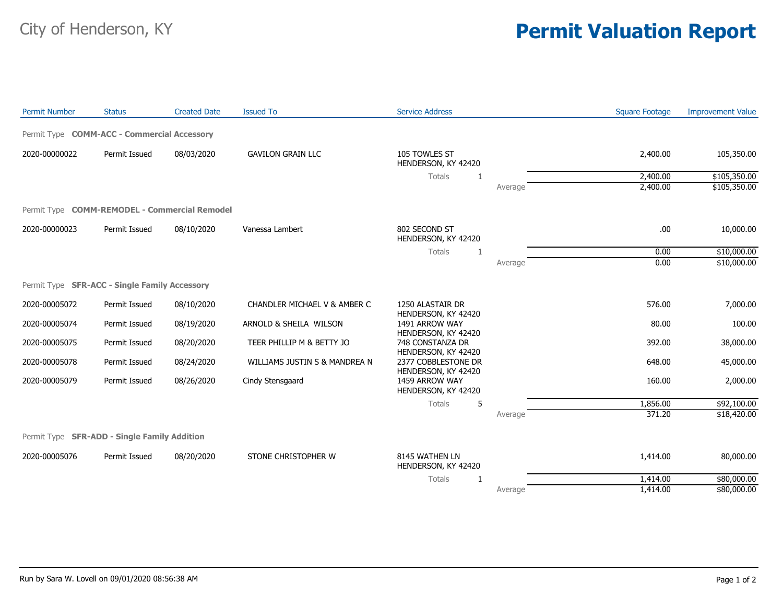## City of Henderson, KY **Permit Valuation Report**

| <b>Permit Number</b> | <b>Status</b>                                 | <b>Created Date</b> | <b>Issued To</b>              | <b>Service Address</b>                                       |         | <b>Square Footage</b> | <b>Improvement Value</b> |
|----------------------|-----------------------------------------------|---------------------|-------------------------------|--------------------------------------------------------------|---------|-----------------------|--------------------------|
|                      | Permit Type COMM-ACC - Commercial Accessory   |                     |                               |                                                              |         |                       |                          |
| 2020-00000022        | Permit Issued                                 | 08/03/2020          | <b>GAVILON GRAIN LLC</b>      | 105 TOWLES ST<br>HENDERSON, KY 42420                         |         | 2,400.00              | 105,350.00               |
|                      |                                               |                     |                               | Totals<br>1                                                  |         | 2,400.00              | \$105,350.00             |
|                      |                                               |                     |                               |                                                              | Average | 2,400.00              | \$105,350.00             |
|                      | Permit Type COMM-REMODEL - Commercial Remodel |                     |                               |                                                              |         |                       |                          |
| 2020-00000023        | Permit Issued                                 | 08/10/2020          | Vanessa Lambert               | 802 SECOND ST<br>HENDERSON, KY 42420                         |         | .00.                  | 10,000.00                |
|                      |                                               |                     |                               | Totals<br>$\mathbf{1}$                                       |         | 0.00                  | \$10,000.00              |
|                      |                                               |                     |                               |                                                              | Average | 0.00                  | \$10,000.00              |
|                      | Permit Type SFR-ACC - Single Family Accessory |                     |                               |                                                              |         |                       |                          |
| 2020-00005072        | Permit Issued                                 | 08/10/2020          | CHANDLER MICHAEL V & AMBER C  | 1250 ALASTAIR DR                                             |         | 576.00                | 7,000.00                 |
| 2020-00005074        | Permit Issued                                 | 08/19/2020          | ARNOLD & SHEILA WILSON        | HENDERSON, KY 42420<br>1491 ARROW WAY<br>HENDERSON, KY 42420 |         | 80.00                 | 100.00                   |
| 2020-00005075        | Permit Issued                                 | 08/20/2020          | TEER PHILLIP M & BETTY JO     | 748 CONSTANZA DR<br>HENDERSON, KY 42420                      |         | 392.00                | 38,000.00                |
| 2020-00005078        | Permit Issued                                 | 08/24/2020          | WILLIAMS JUSTIN S & MANDREA N | 2377 COBBLESTONE DR<br>HENDERSON, KY 42420                   |         | 648.00                | 45,000.00                |
| 2020-00005079        | Permit Issued                                 | 08/26/2020          | Cindy Stensgaard              | 1459 ARROW WAY<br>HENDERSON, KY 42420                        |         | 160.00                | 2,000.00                 |
|                      |                                               |                     |                               | Totals<br>5                                                  |         | 1,856.00              | \$92,100.00              |
|                      |                                               |                     |                               |                                                              | Average | 371.20                | \$18,420.00              |
|                      | Permit Type SFR-ADD - Single Family Addition  |                     |                               |                                                              |         |                       |                          |
| 2020-00005076        | Permit Issued                                 | 08/20/2020          | STONE CHRISTOPHER W           | 8145 WATHEN LN<br>HENDERSON, KY 42420                        |         | 1,414.00              | 80,000.00                |
|                      |                                               |                     |                               | Totals<br>$\mathbf{1}$                                       |         | 1,414.00              | \$80,000.00              |
|                      |                                               |                     |                               |                                                              | Average | 1,414.00              | \$80,000.00              |